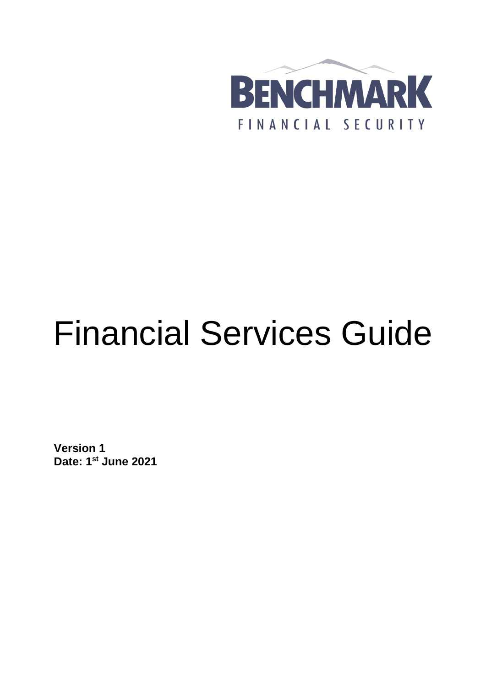

# Financial Services Guide

**Version 1 Date: 1 st June 2021**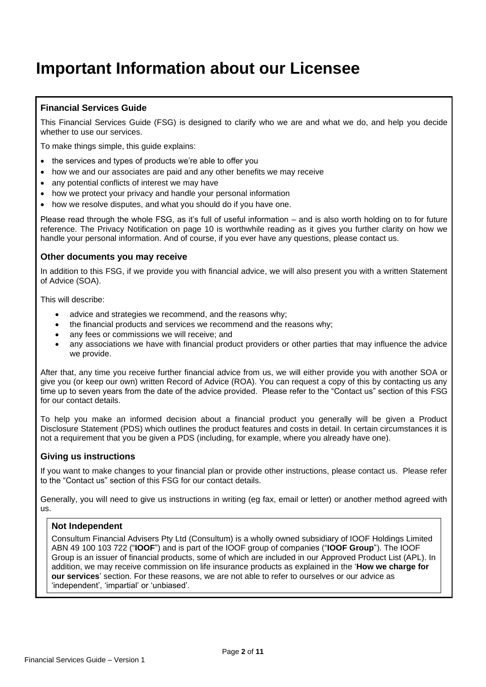# **Important Information about our Licensee**

# **Financial Services Guide**

This Financial Services Guide (FSG) is designed to clarify who we are and what we do, and help you decide whether to use our services.

To make things simple, this guide explains:

- the services and types of products we're able to offer you
- how we and our associates are paid and any other benefits we may receive
- any potential conflicts of interest we may have
- how we protect your privacy and handle your personal information
- how we resolve disputes, and what you should do if you have one.

Please read through the whole FSG, as it's full of useful information – and is also worth holding on to for future reference. The Privacy Notification on page 10 is worthwhile reading as it gives you further clarity on how we handle your personal information. And of course, if you ever have any questions, please contact us.

# **Other documents you may receive**

In addition to this FSG, if we provide you with financial advice, we will also present you with a written Statement of Advice (SOA).

This will describe:

- advice and strategies we recommend, and the reasons why;
- the financial products and services we recommend and the reasons why;
- any fees or commissions we will receive; and
- any associations we have with financial product providers or other parties that may influence the advice we provide.

After that, any time you receive further financial advice from us, we will either provide you with another SOA or give you (or keep our own) written Record of Advice (ROA). You can request a copy of this by contacting us any time up to seven years from the date of the advice provided. Please refer to the "Contact us" section of this FSG for our contact details.

To help you make an informed decision about a financial product you generally will be given a Product Disclosure Statement (PDS) which outlines the product features and costs in detail. In certain circumstances it is not a requirement that you be given a PDS (including, for example, where you already have one).

# **Giving us instructions**

If you want to make changes to your financial plan or provide other instructions, please contact us. Please refer to the "Contact us" section of this FSG for our contact details.

Generally, you will need to give us instructions in writing (eg fax, email or letter) or another method agreed with us.

# **Not Independent**

Consultum Financial Advisers Pty Ltd (Consultum) is a wholly owned subsidiary of IOOF Holdings Limited ABN 49 100 103 722 ("**IOOF**") and is part of the IOOF group of companies ("**IOOF Group**"). The IOOF Group is an issuer of financial products, some of which are included in our Approved Product List (APL). In addition, we may receive commission on life insurance products as explained in the '**How we charge for our services**' section. For these reasons, we are not able to refer to ourselves or our advice as 'independent', 'impartial' or 'unbiased'.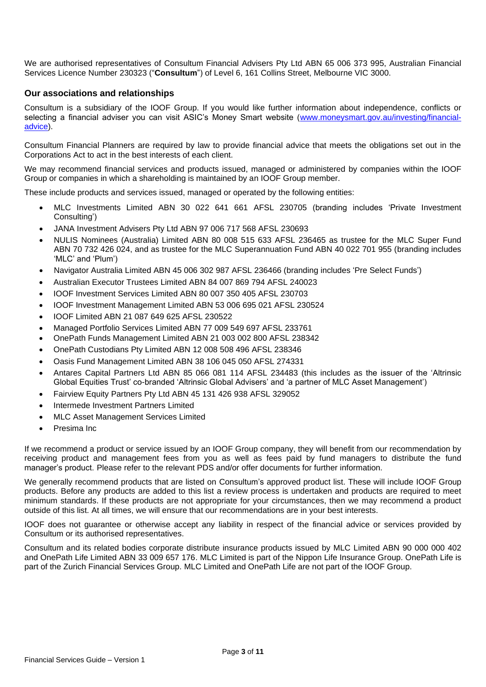We are authorised representatives of Consultum Financial Advisers Pty Ltd ABN 65 006 373 995, Australian Financial Services Licence Number 230323 ("**Consultum**") of Level 6, 161 Collins Street, Melbourne VIC 3000.

# **Our associations and relationships**

Consultum is a subsidiary of the IOOF Group. If you would like further information about independence, conflicts or selecting a financial adviser you can visit ASIC's Money Smart website [\(www.moneysmart.gov.au/investing/financial](https://www.moneysmart.gov.au/investing/financial-advice)[advice\)](https://www.moneysmart.gov.au/investing/financial-advice).

Consultum Financial Planners are required by law to provide financial advice that meets the obligations set out in the Corporations Act to act in the best interests of each client.

We may recommend financial services and products issued, managed or administered by companies within the IOOF Group or companies in which a shareholding is maintained by an IOOF Group member.

These include products and services issued, managed or operated by the following entities:

- MLC Investments Limited ABN 30 022 641 661 AFSL 230705 (branding includes 'Private Investment Consulting')
- JANA Investment Advisers Pty Ltd ABN 97 006 717 568 AFSL 230693
- NULIS Nominees (Australia) Limited ABN 80 008 515 633 AFSL 236465 as trustee for the MLC Super Fund ABN 70 732 426 024, and as trustee for the MLC Superannuation Fund ABN 40 022 701 955 (branding includes 'MLC' and 'Plum')
- Navigator Australia Limited ABN 45 006 302 987 AFSL 236466 (branding includes 'Pre Select Funds')
- Australian Executor Trustees Limited ABN 84 007 869 794 AFSL 240023
- IOOF Investment Services Limited ABN 80 007 350 405 AFSL 230703
- IOOF Investment Management Limited ABN 53 006 695 021 AFSL 230524
- IOOF Limited ABN 21 087 649 625 AFSL 230522
- Managed Portfolio Services Limited ABN 77 009 549 697 AFSL 233761
- OnePath Funds Management Limited ABN 21 003 002 800 AFSL 238342
- OnePath Custodians Pty Limited ABN 12 008 508 496 AFSL 238346
- Oasis Fund Management Limited ABN 38 106 045 050 AFSL 274331
- Antares Capital Partners Ltd ABN 85 066 081 114 AFSL 234483 (this includes as the issuer of the 'Altrinsic Global Equities Trust' co-branded 'Altrinsic Global Advisers' and 'a partner of MLC Asset Management')
- Fairview Equity Partners Pty Ltd ABN 45 131 426 938 AFSL 329052
- Intermede Investment Partners Limited
- MLC Asset Management Services Limited
- Presima Inc

If we recommend a product or service issued by an IOOF Group company, they will benefit from our recommendation by receiving product and management fees from you as well as fees paid by fund managers to distribute the fund manager's product. Please refer to the relevant PDS and/or offer documents for further information.

We generally recommend products that are listed on Consultum's approved product list. These will include IOOF Group products. Before any products are added to this list a review process is undertaken and products are required to meet minimum standards. If these products are not appropriate for your circumstances, then we may recommend a product outside of this list. At all times, we will ensure that our recommendations are in your best interests.

IOOF does not guarantee or otherwise accept any liability in respect of the financial advice or services provided by Consultum or its authorised representatives.

Consultum and its related bodies corporate distribute insurance products issued by MLC Limited ABN 90 000 000 402 and OnePath Life Limited ABN 33 009 657 176. MLC Limited is part of the Nippon Life Insurance Group. OnePath Life is part of the Zurich Financial Services Group. MLC Limited and OnePath Life are not part of the IOOF Group.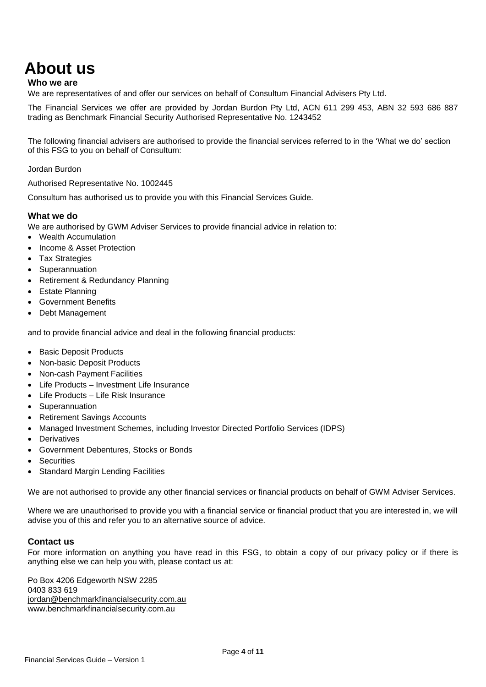# **About us**

### **Who we are**

We are representatives of and offer our services on behalf of Consultum Financial Advisers Pty Ltd.

The Financial Services we offer are provided by Jordan Burdon Pty Ltd, ACN 611 299 453, ABN 32 593 686 887 trading as Benchmark Financial Security Authorised Representative No. 1243452

The following financial advisers are authorised to provide the financial services referred to in the 'What we do' section of this FSG to you on behalf of Consultum:

Jordan Burdon

Authorised Representative No. 1002445

Consultum has authorised us to provide you with this Financial Services Guide.

### **What we do**

We are authorised by GWM Adviser Services to provide financial advice in relation to:

- Wealth Accumulation
- Income & Asset Protection
- Tax Strategies
- Superannuation
- Retirement & Redundancy Planning
- Estate Planning
- Government Benefits
- Debt Management

and to provide financial advice and deal in the following financial products:

- Basic Deposit Products
- Non-basic Deposit Products
- Non-cash Payment Facilities
- Life Products Investment Life Insurance
- Life Products Life Risk Insurance
- Superannuation
- Retirement Savings Accounts
- Managed Investment Schemes, including Investor Directed Portfolio Services (IDPS)
- Derivatives
- Government Debentures, Stocks or Bonds
- **Securities**
- **Standard Margin Lending Facilities**

We are not authorised to provide any other financial services or financial products on behalf of GWM Adviser Services.

Where we are unauthorised to provide you with a financial service or financial product that you are interested in, we will advise you of this and refer you to an alternative source of advice.

# **Contact us**

For more information on anything you have read in this FSG, to obtain a copy of our privacy policy or if there is anything else we can help you with, please contact us at:

Po Box 4206 Edgeworth NSW 2285 0403 833 619 [jordan@benchmarkfinancialsecurity.com.au](mailto:jordan@benchmarkfinancialsecurity.com.au) www.benchmarkfinancialsecurity.com.au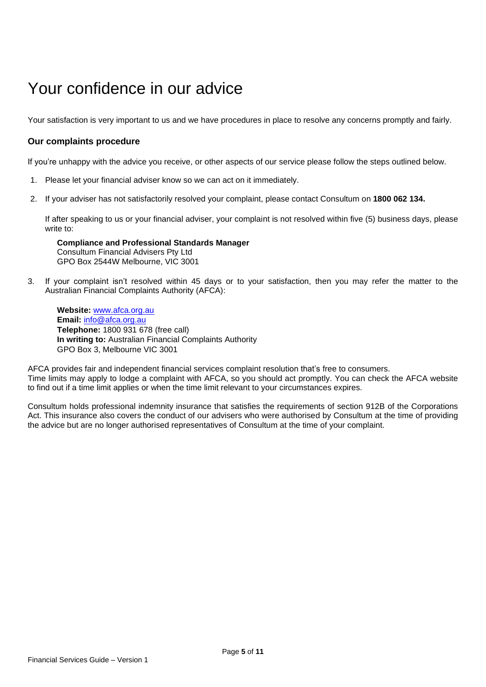# Your confidence in our advice

Your satisfaction is very important to us and we have procedures in place to resolve any concerns promptly and fairly.

# **Our complaints procedure**

If you're unhappy with the advice you receive, or other aspects of our service please follow the steps outlined below.

- 1. Please let your financial adviser know so we can act on it immediately.
- 2. If your adviser has not satisfactorily resolved your complaint, please contact Consultum on **1800 062 134.**

If after speaking to us or your financial adviser, your complaint is not resolved within five (5) business days, please write to:

**Compliance and Professional Standards Manager**  Consultum Financial Advisers Pty Ltd GPO Box 2544W Melbourne, VIC 3001

3. If your complaint isn't resolved within 45 days or to your satisfaction, then you may refer the matter to the Australian Financial Complaints Authority (AFCA):

**Website:** [www.afca.org.au](file:///C:/Users/p780057/AppData/Local/P769641/AppData/Local/Microsoft/Windows/Temporary%20Internet%20Files/Content.Outlook/NKQR1889/www.afca.org.au) **Email:** [info@afca.org.au](mailto:info@afca.org.au) **Telephone:** 1800 931 678 (free call) **In writing to:** Australian Financial Complaints Authority GPO Box 3, Melbourne VIC 3001

AFCA provides fair and independent financial services complaint resolution that's free to consumers. Time limits may apply to lodge a complaint with AFCA, so you should act promptly. You can check the AFCA website to find out if a time limit applies or when the time limit relevant to your circumstances expires.

Consultum holds professional indemnity insurance that satisfies the requirements of section 912B of the Corporations Act. This insurance also covers the conduct of our advisers who were authorised by Consultum at the time of providing the advice but are no longer authorised representatives of Consultum at the time of your complaint.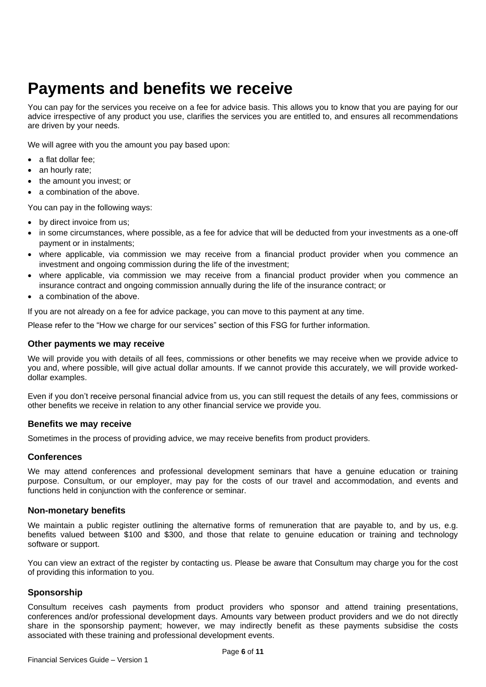# **Payments and benefits we receive**

You can pay for the services you receive on a fee for advice basis. This allows you to know that you are paying for our advice irrespective of any product you use, clarifies the services you are entitled to, and ensures all recommendations are driven by your needs.

We will agree with you the amount you pay based upon:

- a flat dollar fee;
- an hourly rate;
- the amount you invest; or
- a combination of the above.

You can pay in the following ways:

- by direct invoice from us;
- in some circumstances, where possible, as a fee for advice that will be deducted from your investments as a one-off payment or in instalments;
- where applicable, via commission we may receive from a financial product provider when you commence an investment and ongoing commission during the life of the investment;
- where applicable, via commission we may receive from a financial product provider when you commence an insurance contract and ongoing commission annually during the life of the insurance contract; or
- a combination of the above.

If you are not already on a fee for advice package, you can move to this payment at any time.

Please refer to the "How we charge for our services" section of this FSG for further information.

### **Other payments we may receive**

We will provide you with details of all fees, commissions or other benefits we may receive when we provide advice to you and, where possible, will give actual dollar amounts. If we cannot provide this accurately, we will provide workeddollar examples.

Even if you don't receive personal financial advice from us, you can still request the details of any fees, commissions or other benefits we receive in relation to any other financial service we provide you.

# **Benefits we may receive**

Sometimes in the process of providing advice, we may receive benefits from product providers.

#### **Conferences**

We may attend conferences and professional development seminars that have a genuine education or training purpose. Consultum, or our employer, may pay for the costs of our travel and accommodation, and events and functions held in conjunction with the conference or seminar.

# **Non-monetary benefits**

We maintain a public register outlining the alternative forms of remuneration that are payable to, and by us, e.g. benefits valued between \$100 and \$300, and those that relate to genuine education or training and technology software or support.

You can view an extract of the register by contacting us. Please be aware that Consultum may charge you for the cost of providing this information to you.

# **Sponsorship**

Consultum receives cash payments from product providers who sponsor and attend training presentations, conferences and/or professional development days. Amounts vary between product providers and we do not directly share in the sponsorship payment; however, we may indirectly benefit as these payments subsidise the costs associated with these training and professional development events.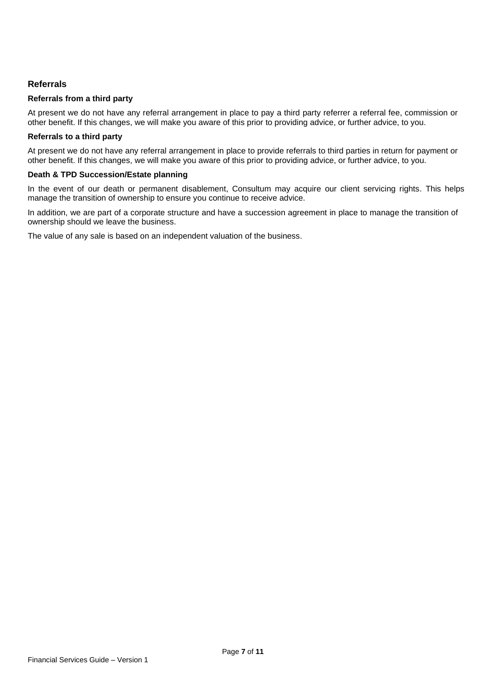# **Referrals**

### **Referrals from a third party**

At present we do not have any referral arrangement in place to pay a third party referrer a referral fee, commission or other benefit. If this changes, we will make you aware of this prior to providing advice, or further advice, to you.

#### **Referrals to a third party**

At present we do not have any referral arrangement in place to provide referrals to third parties in return for payment or other benefit. If this changes, we will make you aware of this prior to providing advice, or further advice, to you.

# **Death & TPD Succession/Estate planning**

In the event of our death or permanent disablement, Consultum may acquire our client servicing rights. This helps manage the transition of ownership to ensure you continue to receive advice.

In addition, we are part of a corporate structure and have a succession agreement in place to manage the transition of ownership should we leave the business.

The value of any sale is based on an independent valuation of the business.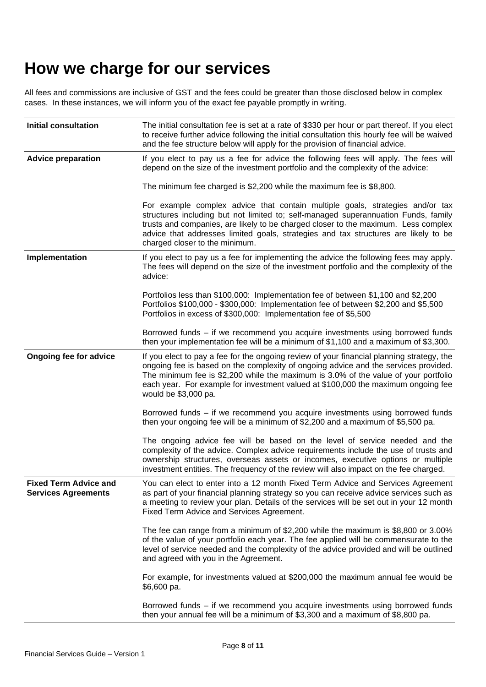# **How we charge for our services**

All fees and commissions are inclusive of GST and the fees could be greater than those disclosed below in complex cases. In these instances, we will inform you of the exact fee payable promptly in writing.

| <b>Initial consultation</b>                                | The initial consultation fee is set at a rate of \$330 per hour or part thereof. If you elect<br>to receive further advice following the initial consultation this hourly fee will be waived<br>and the fee structure below will apply for the provision of financial advice.                                                                                                        |  |  |
|------------------------------------------------------------|--------------------------------------------------------------------------------------------------------------------------------------------------------------------------------------------------------------------------------------------------------------------------------------------------------------------------------------------------------------------------------------|--|--|
| <b>Advice preparation</b>                                  | If you elect to pay us a fee for advice the following fees will apply. The fees will<br>depend on the size of the investment portfolio and the complexity of the advice:                                                                                                                                                                                                             |  |  |
|                                                            | The minimum fee charged is \$2,200 while the maximum fee is \$8,800.                                                                                                                                                                                                                                                                                                                 |  |  |
|                                                            | For example complex advice that contain multiple goals, strategies and/or tax<br>structures including but not limited to; self-managed superannuation Funds, family<br>trusts and companies, are likely to be charged closer to the maximum. Less complex<br>advice that addresses limited goals, strategies and tax structures are likely to be<br>charged closer to the minimum.   |  |  |
| Implementation                                             | If you elect to pay us a fee for implementing the advice the following fees may apply.<br>The fees will depend on the size of the investment portfolio and the complexity of the<br>advice:                                                                                                                                                                                          |  |  |
|                                                            | Portfolios less than \$100,000: Implementation fee of between \$1,100 and \$2,200<br>Portfolios \$100,000 - \$300,000: Implementation fee of between \$2,200 and \$5,500<br>Portfolios in excess of \$300,000: Implementation fee of \$5,500                                                                                                                                         |  |  |
|                                                            | Borrowed funds - if we recommend you acquire investments using borrowed funds<br>then your implementation fee will be a minimum of \$1,100 and a maximum of \$3,300.                                                                                                                                                                                                                 |  |  |
| <b>Ongoing fee for advice</b>                              | If you elect to pay a fee for the ongoing review of your financial planning strategy, the<br>ongoing fee is based on the complexity of ongoing advice and the services provided.<br>The minimum fee is \$2,200 while the maximum is 3.0% of the value of your portfolio<br>each year. For example for investment valued at \$100,000 the maximum ongoing fee<br>would be \$3,000 pa. |  |  |
|                                                            | Borrowed funds - if we recommend you acquire investments using borrowed funds<br>then your ongoing fee will be a minimum of \$2,200 and a maximum of \$5,500 pa.                                                                                                                                                                                                                     |  |  |
|                                                            | The ongoing advice fee will be based on the level of service needed and the<br>complexity of the advice. Complex advice requirements include the use of trusts and<br>ownership structures, overseas assets or incomes, executive options or multiple<br>investment entities. The frequency of the review will also impact on the fee charged.                                       |  |  |
| <b>Fixed Term Advice and</b><br><b>Services Agreements</b> | You can elect to enter into a 12 month Fixed Term Advice and Services Agreement<br>as part of your financial planning strategy so you can receive advice services such as<br>a meeting to review your plan. Details of the services will be set out in your 12 month<br>Fixed Term Advice and Services Agreement.                                                                    |  |  |
|                                                            | The fee can range from a minimum of \$2,200 while the maximum is \$8,800 or 3.00%<br>of the value of your portfolio each year. The fee applied will be commensurate to the<br>level of service needed and the complexity of the advice provided and will be outlined<br>and agreed with you in the Agreement.                                                                        |  |  |
|                                                            | For example, for investments valued at \$200,000 the maximum annual fee would be<br>\$6,600 pa.                                                                                                                                                                                                                                                                                      |  |  |
|                                                            | Borrowed funds - if we recommend you acquire investments using borrowed funds<br>then your annual fee will be a minimum of \$3,300 and a maximum of \$8,800 pa.                                                                                                                                                                                                                      |  |  |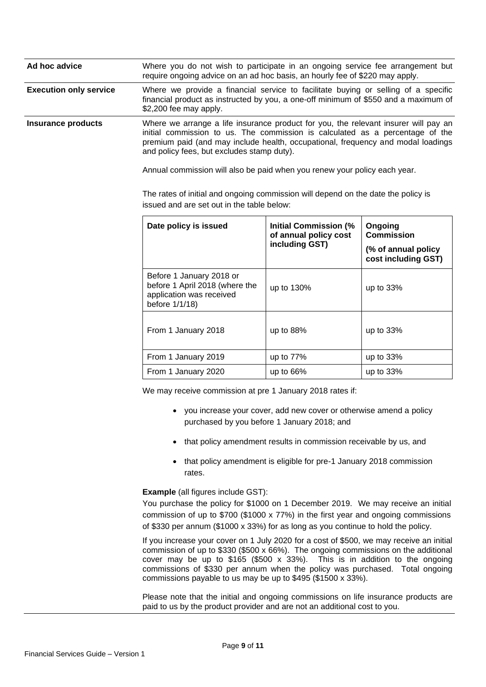| Ad hoc advice                 | Where you do not wish to participate in an ongoing service fee arrangement but<br>require ongoing advice on an ad hoc basis, an hourly fee of \$220 may apply.                                                                                                                                                                                                                      |                                                                         |                                            |  |
|-------------------------------|-------------------------------------------------------------------------------------------------------------------------------------------------------------------------------------------------------------------------------------------------------------------------------------------------------------------------------------------------------------------------------------|-------------------------------------------------------------------------|--------------------------------------------|--|
| <b>Execution only service</b> | Where we provide a financial service to facilitate buying or selling of a specific<br>financial product as instructed by you, a one-off minimum of \$550 and a maximum of<br>\$2,200 fee may apply.                                                                                                                                                                                 |                                                                         |                                            |  |
| <b>Insurance products</b>     | Where we arrange a life insurance product for you, the relevant insurer will pay an<br>initial commission to us. The commission is calculated as a percentage of the<br>premium paid (and may include health, occupational, frequency and modal loadings<br>and policy fees, but excludes stamp duty).<br>Annual commission will also be paid when you renew your policy each year. |                                                                         |                                            |  |
|                               | The rates of initial and ongoing commission will depend on the date the policy is<br>issued and are set out in the table below:                                                                                                                                                                                                                                                     |                                                                         |                                            |  |
|                               | Date policy is issued                                                                                                                                                                                                                                                                                                                                                               | <b>Initial Commission (%</b><br>of annual policy cost<br>including GST) | Ongoing<br><b>Commission</b>               |  |
|                               |                                                                                                                                                                                                                                                                                                                                                                                     |                                                                         | (% of annual policy<br>cost including GST) |  |
|                               | Before 1 January 2018 or<br>before 1 April 2018 (where the<br>application was received<br>before 1/1/18)                                                                                                                                                                                                                                                                            | up to 130%                                                              | up to $33%$                                |  |
|                               | From 1 January 2018                                                                                                                                                                                                                                                                                                                                                                 | up to 88%                                                               | up to 33%                                  |  |
|                               | From 1 January 2019                                                                                                                                                                                                                                                                                                                                                                 | up to 77%                                                               | up to 33%                                  |  |
|                               | From 1 January 2020                                                                                                                                                                                                                                                                                                                                                                 | up to 66%                                                               | up to 33%                                  |  |

We may receive commission at pre 1 January 2018 rates if:

- you increase your cover, add new cover or otherwise amend a policy purchased by you before 1 January 2018; and
- that policy amendment results in commission receivable by us, and
- that policy amendment is eligible for pre-1 January 2018 commission rates.

**Example** (all figures include GST):

You purchase the policy for \$1000 on 1 December 2019. We may receive an initial commission of up to \$700 (\$1000 x 77%) in the first year and ongoing commissions of \$330 per annum (\$1000 x 33%) for as long as you continue to hold the policy.

If you increase your cover on 1 July 2020 for a cost of \$500, we may receive an initial commission of up to \$330 (\$500 x 66%). The ongoing commissions on the additional cover may be up to \$165 (\$500 x 33%). This is in addition to the ongoing commissions of \$330 per annum when the policy was purchased. Total ongoing commissions payable to us may be up to \$495 (\$1500 x 33%).

Please note that the initial and ongoing commissions on life insurance products are paid to us by the product provider and are not an additional cost to you.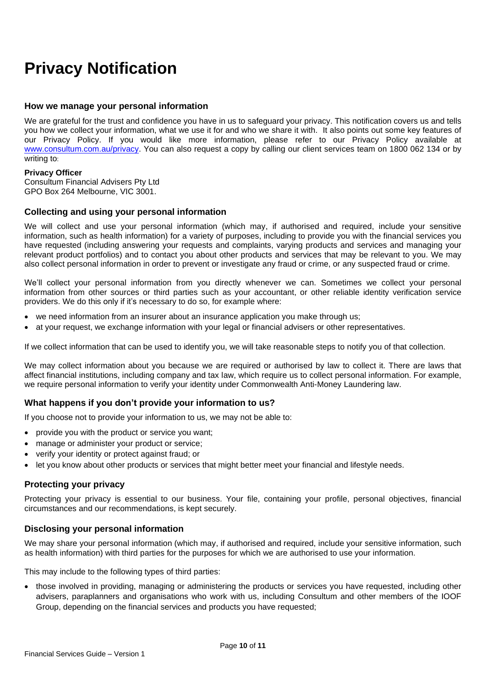# **Privacy Notification**

# **How we manage your personal information**

We are grateful for the trust and confidence you have in us to safeguard your privacy. This notification covers us and tells you how we collect your information, what we use it for and who we share it with. It also points out some key features of our Privacy Policy. If you would like more information, please refer to our Privacy Policy available at [www.consultum.com.au/privacy.](http://www.consultum.com.au/privacy) You can also request a copy by calling our client services team on 1800 062 134 or by writing to:

#### **Privacy Officer**

Consultum Financial Advisers Pty Ltd GPO Box 264 Melbourne, VIC 3001.

### **Collecting and using your personal information**

We will collect and use your personal information (which may, if authorised and required, include your sensitive information, such as health information) for a variety of purposes, including to provide you with the financial services you have requested (including answering your requests and complaints, varying products and services and managing your relevant product portfolios) and to contact you about other products and services that may be relevant to you. We may also collect personal information in order to prevent or investigate any fraud or crime, or any suspected fraud or crime.

We'll collect your personal information from you directly whenever we can. Sometimes we collect your personal information from other sources or third parties such as your accountant, or other reliable identity verification service providers. We do this only if it's necessary to do so, for example where:

- we need information from an insurer about an insurance application you make through us;
- at your request, we exchange information with your legal or financial advisers or other representatives.

If we collect information that can be used to identify you, we will take reasonable steps to notify you of that collection.

We may collect information about you because we are required or authorised by law to collect it. There are laws that affect financial institutions, including company and tax law, which require us to collect personal information. For example, we require personal information to verify your identity under Commonwealth Anti-Money Laundering law.

# **What happens if you don't provide your information to us?**

If you choose not to provide your information to us, we may not be able to:

- provide you with the product or service you want;
- manage or administer your product or service;
- verify your identity or protect against fraud; or
- let you know about other products or services that might better meet your financial and lifestyle needs.

#### **Protecting your privacy**

Protecting your privacy is essential to our business. Your file, containing your profile, personal objectives, financial circumstances and our recommendations, is kept securely.

#### **Disclosing your personal information**

We may share your personal information (which may, if authorised and required, include your sensitive information, such as health information) with third parties for the purposes for which we are authorised to use your information.

This may include to the following types of third parties:

• those involved in providing, managing or administering the products or services you have requested, including other advisers, paraplanners and organisations who work with us, including Consultum and other members of the IOOF Group, depending on the financial services and products you have requested;